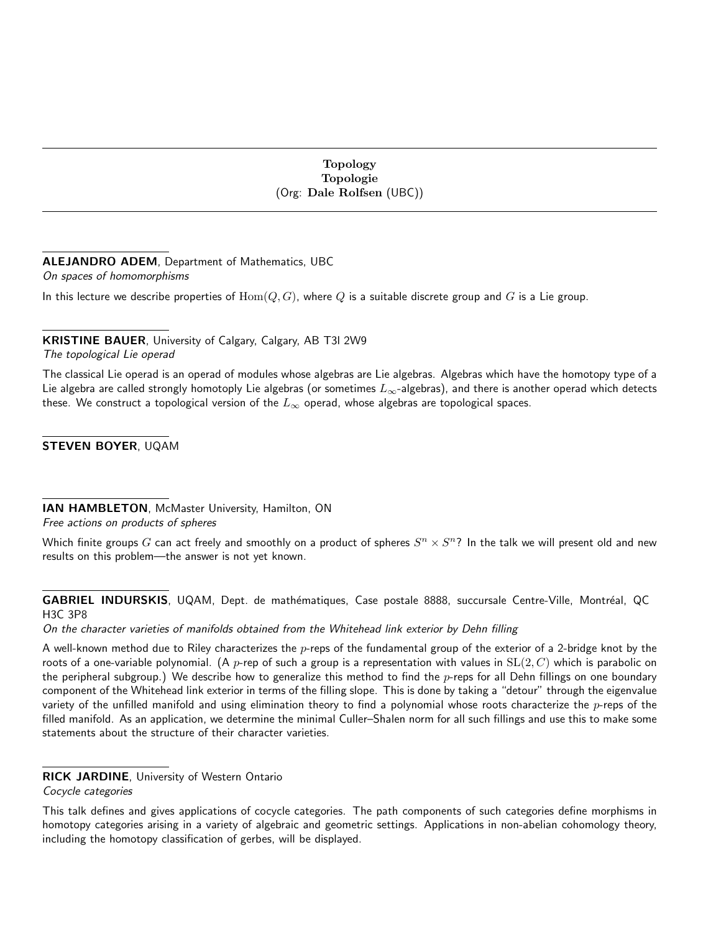#### Topology Topologie (Org: Dale Rolfsen (UBC))

# ALEJANDRO ADEM, Department of Mathematics, UBC

On spaces of homomorphisms

In this lecture we describe properties of  $Hom(Q, G)$ , where Q is a suitable discrete group and G is a Lie group.

## KRISTINE BAUER, University of Calgary, Calgary, AB T3l 2W9

The topological Lie operad

The classical Lie operad is an operad of modules whose algebras are Lie algebras. Algebras which have the homotopy type of a Lie algebra are called strongly homotoply Lie algebras (or sometimes  $L_{\infty}$ -algebras), and there is another operad which detects these. We construct a topological version of the  $L_{\infty}$  operad, whose algebras are topological spaces.

STEVEN BOYER, UQAM

IAN HAMBLETON, McMaster University, Hamilton, ON Free actions on products of spheres

Which finite groups  $G$  can act freely and smoothly on a product of spheres  $S^n\times S^n$ ? In the talk we will present old and new results on this problem—the answer is not yet known.

GABRIEL INDURSKIS, UQAM, Dept. de mathématiques, Case postale 8888, succursale Centre-Ville, Montréal, QC H3C 3P8

On the character varieties of manifolds obtained from the Whitehead link exterior by Dehn filling

A well-known method due to Riley characterizes the  $p$ -reps of the fundamental group of the exterior of a 2-bridge knot by the roots of a one-variable polynomial. (A p-rep of such a group is a representation with values in  $SL(2, C)$  which is parabolic on the peripheral subgroup.) We describe how to generalize this method to find the  $p$ -reps for all Dehn fillings on one boundary component of the Whitehead link exterior in terms of the filling slope. This is done by taking a "detour" through the eigenvalue variety of the unfilled manifold and using elimination theory to find a polynomial whose roots characterize the  $p$ -reps of the filled manifold. As an application, we determine the minimal Culler–Shalen norm for all such fillings and use this to make some statements about the structure of their character varieties.

## RICK JARDINE, University of Western Ontario

Cocycle categories

This talk defines and gives applications of cocycle categories. The path components of such categories define morphisms in homotopy categories arising in a variety of algebraic and geometric settings. Applications in non-abelian cohomology theory, including the homotopy classification of gerbes, will be displayed.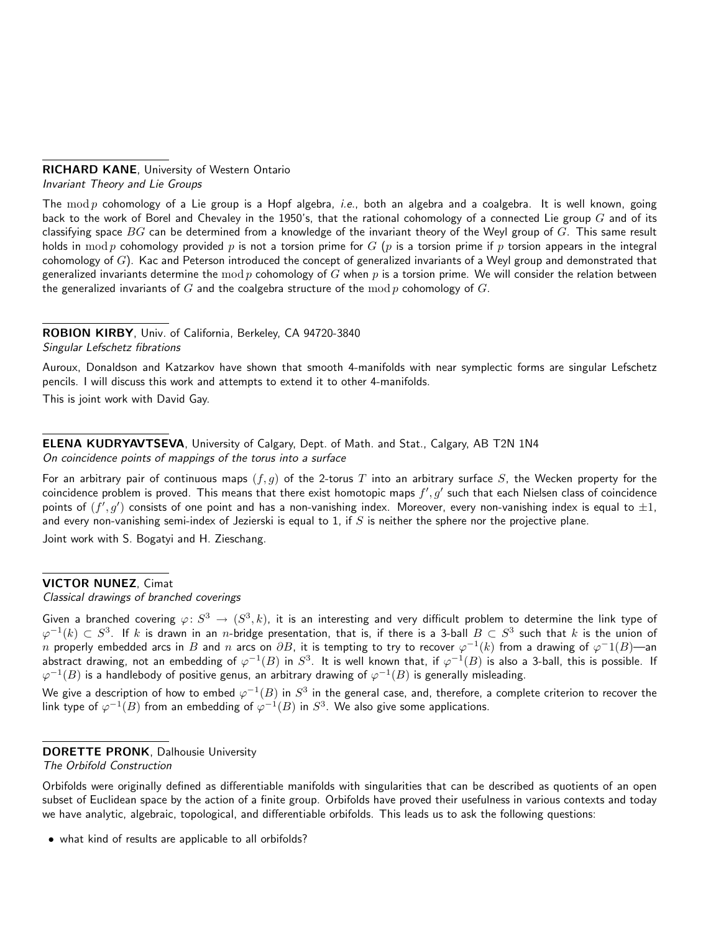# RICHARD KANE, University of Western Ontario

Invariant Theory and Lie Groups

The mod p cohomology of a Lie group is a Hopf algebra, *i.e.*, both an algebra and a coalgebra. It is well known, going back to the work of Borel and Chevaley in the 1950's, that the rational cohomology of a connected Lie group  $G$  and of its classifying space  $BG$  can be determined from a knowledge of the invariant theory of the Weyl group of  $G$ . This same result holds in mod p cohomology provided p is not a torsion prime for  $G$  (p is a torsion prime if p torsion appears in the integral cohomology of  $G$ ). Kac and Peterson introduced the concept of generalized invariants of a Weyl group and demonstrated that generalized invariants determine the mod p cohomology of G when p is a torsion prime. We will consider the relation between the generalized invariants of G and the coalgebra structure of the mod p cohomology of  $G$ .

ROBION KIRBY, Univ. of California, Berkeley, CA 94720-3840 Singular Lefschetz fibrations

Auroux, Donaldson and Katzarkov have shown that smooth 4-manifolds with near symplectic forms are singular Lefschetz pencils. I will discuss this work and attempts to extend it to other 4-manifolds.

This is joint work with David Gay.

ELENA KUDRYAVTSEVA, University of Calgary, Dept. of Math. and Stat., Calgary, AB T2N 1N4 On coincidence points of mappings of the torus into a surface

For an arbitrary pair of continuous maps  $(f, g)$  of the 2-torus T into an arbitrary surface S, the Wecken property for the coincidence problem is proved. This means that there exist homotopic maps  $f', g'$  such that each Nielsen class of coincidence points of  $(f',g')$  consists of one point and has a non-vanishing index. Moreover, every non-vanishing index is equal to  $\pm 1$ , and every non-vanishing semi-index of Jezierski is equal to 1, if  $S$  is neither the sphere nor the projective plane.

Joint work with S. Bogatyi and H. Zieschang.

### VICTOR NUNEZ, Cimat

Classical drawings of branched coverings

Given a branched covering  $\varphi\colon S^3\to (S^3,k)$ , it is an interesting and very difficult problem to determine the link type of  $\varphi^{-1}(k)\subset S^3.$  If  $k$  is drawn in an  $n$ -bridge presentation, that is, if there is a 3-ball  $B\subset S^3$  such that  $k$  is the union of  $n$  properly embedded arcs in  $B$  and  $n$  arcs on  $\partial B$ , it is tempting to try to recover  $\varphi^{-1}(k)$  from a drawing of  $\varphi^{-1}(B)$ —an abstract drawing, not an embedding of  $\varphi^{-1}(B)$  in  $S^3.$  It is well known that, if  $\varphi^{-1}(B)$  is also a 3-ball, this is possible. If  $\varphi^{-1}(B)$  is a handlebody of positive genus, an arbitrary drawing of  $\varphi^{-1}(B)$  is generally misleading.

We give a description of how to embed  $\varphi^{-1}(B)$  in  $S^3$  in the general case, and, therefore, a complete criterion to recover the link type of  $\varphi^{-1}(B)$  from an embedding of  $\varphi^{-1}(B)$  in  $S^3$ . We also give some applications.

#### DORETTE PRONK, Dalhousie University

The Orbifold Construction

Orbifolds were originally defined as differentiable manifolds with singularities that can be described as quotients of an open subset of Euclidean space by the action of a finite group. Orbifolds have proved their usefulness in various contexts and today we have analytic, algebraic, topological, and differentiable orbifolds. This leads us to ask the following questions:

• what kind of results are applicable to all orbifolds?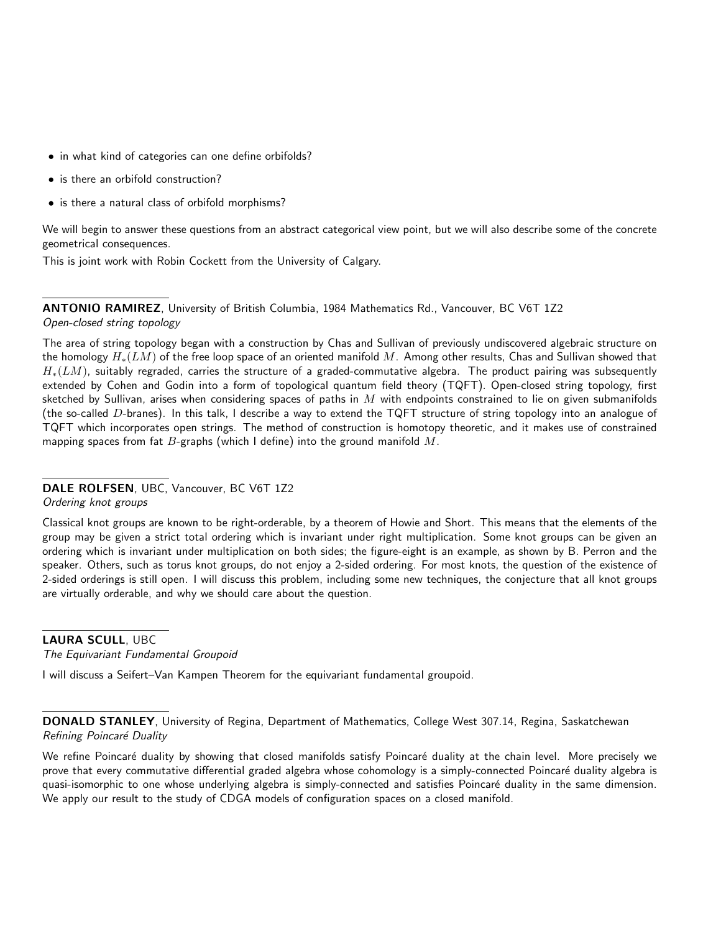- in what kind of categories can one define orbifolds?
- is there an orbifold construction?
- is there a natural class of orbifold morphisms?

We will begin to answer these questions from an abstract categorical view point, but we will also describe some of the concrete geometrical consequences.

This is joint work with Robin Cockett from the University of Calgary.

ANTONIO RAMIREZ, University of British Columbia, 1984 Mathematics Rd., Vancouver, BC V6T 1Z2 Open-closed string topology

The area of string topology began with a construction by Chas and Sullivan of previously undiscovered algebraic structure on the homology  $H_*(LM)$  of the free loop space of an oriented manifold M. Among other results, Chas and Sullivan showed that  $H_*(LM)$ , suitably regraded, carries the structure of a graded-commutative algebra. The product pairing was subsequently extended by Cohen and Godin into a form of topological quantum field theory (TQFT). Open-closed string topology, first sketched by Sullivan, arises when considering spaces of paths in  $M$  with endpoints constrained to lie on given submanifolds (the so-called D-branes). In this talk, I describe a way to extend the TQFT structure of string topology into an analogue of TQFT which incorporates open strings. The method of construction is homotopy theoretic, and it makes use of constrained mapping spaces from fat  $B$ -graphs (which I define) into the ground manifold  $M$ .

#### DALE ROLFSEN, UBC, Vancouver, BC V6T 1Z2

Ordering knot groups

Classical knot groups are known to be right-orderable, by a theorem of Howie and Short. This means that the elements of the group may be given a strict total ordering which is invariant under right multiplication. Some knot groups can be given an ordering which is invariant under multiplication on both sides; the figure-eight is an example, as shown by B. Perron and the speaker. Others, such as torus knot groups, do not enjoy a 2-sided ordering. For most knots, the question of the existence of 2-sided orderings is still open. I will discuss this problem, including some new techniques, the conjecture that all knot groups are virtually orderable, and why we should care about the question.

LAURA SCULL, UBC The Equivariant Fundamental Groupoid

I will discuss a Seifert–Van Kampen Theorem for the equivariant fundamental groupoid.

DONALD STANLEY, University of Regina, Department of Mathematics, College West 307.14, Regina, Saskatchewan Refining Poincaré Duality

We refine Poincaré duality by showing that closed manifolds satisfy Poincaré duality at the chain level. More precisely we prove that every commutative differential graded algebra whose cohomology is a simply-connected Poincaré duality algebra is quasi-isomorphic to one whose underlying algebra is simply-connected and satisfies Poincaré duality in the same dimension. We apply our result to the study of CDGA models of configuration spaces on a closed manifold.